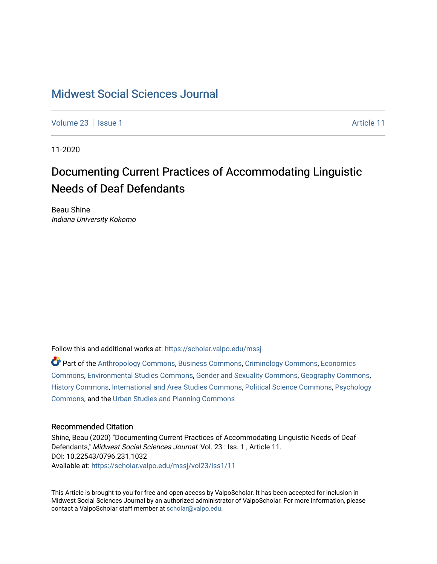## [Midwest Social Sciences Journal](https://scholar.valpo.edu/mssj)

[Volume 23](https://scholar.valpo.edu/mssj/vol23) | [Issue 1](https://scholar.valpo.edu/mssj/vol23/iss1) Article 11

11-2020

# Documenting Current Practices of Accommodating Linguistic Needs of Deaf Defendants

Beau Shine Indiana University Kokomo

Follow this and additional works at: [https://scholar.valpo.edu/mssj](https://scholar.valpo.edu/mssj?utm_source=scholar.valpo.edu%2Fmssj%2Fvol23%2Fiss1%2F11&utm_medium=PDF&utm_campaign=PDFCoverPages) 

Part of the [Anthropology Commons](http://network.bepress.com/hgg/discipline/318?utm_source=scholar.valpo.edu%2Fmssj%2Fvol23%2Fiss1%2F11&utm_medium=PDF&utm_campaign=PDFCoverPages), [Business Commons,](http://network.bepress.com/hgg/discipline/622?utm_source=scholar.valpo.edu%2Fmssj%2Fvol23%2Fiss1%2F11&utm_medium=PDF&utm_campaign=PDFCoverPages) [Criminology Commons](http://network.bepress.com/hgg/discipline/417?utm_source=scholar.valpo.edu%2Fmssj%2Fvol23%2Fiss1%2F11&utm_medium=PDF&utm_campaign=PDFCoverPages), [Economics](http://network.bepress.com/hgg/discipline/340?utm_source=scholar.valpo.edu%2Fmssj%2Fvol23%2Fiss1%2F11&utm_medium=PDF&utm_campaign=PDFCoverPages)  [Commons](http://network.bepress.com/hgg/discipline/340?utm_source=scholar.valpo.edu%2Fmssj%2Fvol23%2Fiss1%2F11&utm_medium=PDF&utm_campaign=PDFCoverPages), [Environmental Studies Commons,](http://network.bepress.com/hgg/discipline/1333?utm_source=scholar.valpo.edu%2Fmssj%2Fvol23%2Fiss1%2F11&utm_medium=PDF&utm_campaign=PDFCoverPages) [Gender and Sexuality Commons](http://network.bepress.com/hgg/discipline/420?utm_source=scholar.valpo.edu%2Fmssj%2Fvol23%2Fiss1%2F11&utm_medium=PDF&utm_campaign=PDFCoverPages), [Geography Commons](http://network.bepress.com/hgg/discipline/354?utm_source=scholar.valpo.edu%2Fmssj%2Fvol23%2Fiss1%2F11&utm_medium=PDF&utm_campaign=PDFCoverPages), [History Commons](http://network.bepress.com/hgg/discipline/489?utm_source=scholar.valpo.edu%2Fmssj%2Fvol23%2Fiss1%2F11&utm_medium=PDF&utm_campaign=PDFCoverPages), [International and Area Studies Commons](http://network.bepress.com/hgg/discipline/360?utm_source=scholar.valpo.edu%2Fmssj%2Fvol23%2Fiss1%2F11&utm_medium=PDF&utm_campaign=PDFCoverPages), [Political Science Commons](http://network.bepress.com/hgg/discipline/386?utm_source=scholar.valpo.edu%2Fmssj%2Fvol23%2Fiss1%2F11&utm_medium=PDF&utm_campaign=PDFCoverPages), [Psychology](http://network.bepress.com/hgg/discipline/404?utm_source=scholar.valpo.edu%2Fmssj%2Fvol23%2Fiss1%2F11&utm_medium=PDF&utm_campaign=PDFCoverPages)  [Commons](http://network.bepress.com/hgg/discipline/404?utm_source=scholar.valpo.edu%2Fmssj%2Fvol23%2Fiss1%2F11&utm_medium=PDF&utm_campaign=PDFCoverPages), and the [Urban Studies and Planning Commons](http://network.bepress.com/hgg/discipline/436?utm_source=scholar.valpo.edu%2Fmssj%2Fvol23%2Fiss1%2F11&utm_medium=PDF&utm_campaign=PDFCoverPages)

#### Recommended Citation

Shine, Beau (2020) "Documenting Current Practices of Accommodating Linguistic Needs of Deaf Defendants," Midwest Social Sciences Journal: Vol. 23 : Iss. 1 , Article 11. DOI: 10.22543/0796.231.1032 Available at: [https://scholar.valpo.edu/mssj/vol23/iss1/11](https://scholar.valpo.edu/mssj/vol23/iss1/11?utm_source=scholar.valpo.edu%2Fmssj%2Fvol23%2Fiss1%2F11&utm_medium=PDF&utm_campaign=PDFCoverPages)

This Article is brought to you for free and open access by ValpoScholar. It has been accepted for inclusion in Midwest Social Sciences Journal by an authorized administrator of ValpoScholar. For more information, please contact a ValpoScholar staff member at [scholar@valpo.edu.](mailto:scholar@valpo.edu)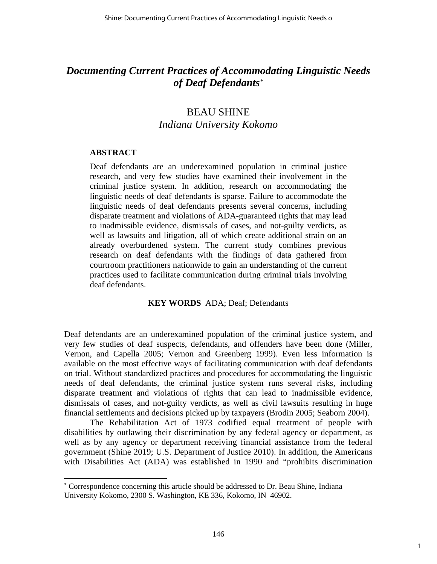## *Documenting Current Practices of Accommodating Linguistic Needs of Deaf Defendants[\\*](#page-1-0)*

## BEAU SHINE *Indiana University Kokomo*

#### **ABSTRACT**

Deaf defendants are an underexamined population in criminal justice research, and very few studies have examined their involvement in the criminal justice system. In addition, research on accommodating the linguistic needs of deaf defendants is sparse. Failure to accommodate the linguistic needs of deaf defendants presents several concerns, including disparate treatment and violations of ADA-guaranteed rights that may lead to inadmissible evidence, dismissals of cases, and not-guilty verdicts, as well as lawsuits and litigation, all of which create additional strain on an already overburdened system. The current study combines previous research on deaf defendants with the findings of data gathered from courtroom practitioners nationwide to gain an understanding of the current practices used to facilitate communication during criminal trials involving deaf defendants.

#### **KEY WORDS** ADA; Deaf; Defendants

Deaf defendants are an underexamined population of the criminal justice system, and very few studies of deaf suspects, defendants, and offenders have been done (Miller, Vernon, and Capella 2005; Vernon and Greenberg 1999). Even less information is available on the most effective ways of facilitating communication with deaf defendants on trial. Without standardized practices and procedures for accommodating the linguistic needs of deaf defendants, the criminal justice system runs several risks, including disparate treatment and violations of rights that can lead to inadmissible evidence, dismissals of cases, and not-guilty verdicts, as well as civil lawsuits resulting in huge financial settlements and decisions picked up by taxpayers (Brodin 2005; Seaborn 2004).

The Rehabilitation Act of 1973 codified equal treatment of people with disabilities by outlawing their discrimination by any federal agency or department, as well as by any agency or department receiving financial assistance from the federal government (Shine 2019; U.S. Department of Justice 2010). In addition, the Americans with Disabilities Act (ADA) was established in 1990 and "prohibits discrimination

1

<span id="page-1-0"></span><sup>\*</sup> Correspondence concerning this article should be addressed to Dr. Beau Shine, Indiana University Kokomo, 2300 S. Washington, KE 336, Kokomo, IN 46902.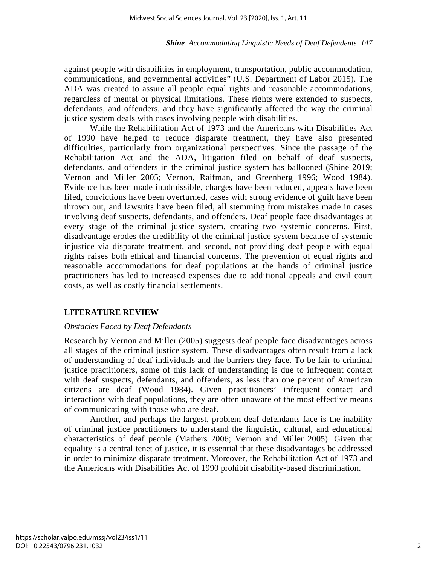against people with disabilities in employment, transportation, public accommodation, communications, and governmental activities" (U.S. Department of Labor 2015). The ADA was created to assure all people equal rights and reasonable accommodations, regardless of mental or physical limitations. These rights were extended to suspects, defendants, and offenders, and they have significantly affected the way the criminal justice system deals with cases involving people with disabilities.

While the Rehabilitation Act of 1973 and the Americans with Disabilities Act of 1990 have helped to reduce disparate treatment, they have also presented difficulties, particularly from organizational perspectives. Since the passage of the Rehabilitation Act and the ADA, litigation filed on behalf of deaf suspects, defendants, and offenders in the criminal justice system has ballooned (Shine 2019; Vernon and Miller 2005; Vernon, Raifman, and Greenberg 1996; Wood 1984). Evidence has been made inadmissible, charges have been reduced, appeals have been filed, convictions have been overturned, cases with strong evidence of guilt have been thrown out, and lawsuits have been filed, all stemming from mistakes made in cases involving deaf suspects, defendants, and offenders. Deaf people face disadvantages at every stage of the criminal justice system, creating two systemic concerns. First, disadvantage erodes the credibility of the criminal justice system because of systemic injustice via disparate treatment, and second, not providing deaf people with equal rights raises both ethical and financial concerns. The prevention of equal rights and reasonable accommodations for deaf populations at the hands of criminal justice practitioners has led to increased expenses due to additional appeals and civil court costs, as well as costly financial settlements.

#### **LITERATURE REVIEW**

#### *Obstacles Faced by Deaf Defendants*

Research by Vernon and Miller (2005) suggests deaf people face disadvantages across all stages of the criminal justice system. These disadvantages often result from a lack of understanding of deaf individuals and the barriers they face. To be fair to criminal justice practitioners, some of this lack of understanding is due to infrequent contact with deaf suspects, defendants, and offenders, as less than one percent of American citizens are deaf (Wood 1984). Given practitioners' infrequent contact and interactions with deaf populations, they are often unaware of the most effective means of communicating with those who are deaf.

Another, and perhaps the largest, problem deaf defendants face is the inability of criminal justice practitioners to understand the linguistic, cultural, and educational characteristics of deaf people (Mathers 2006; Vernon and Miller 2005). Given that equality is a central tenet of justice, it is essential that these disadvantages be addressed in order to minimize disparate treatment. Moreover, the Rehabilitation Act of 1973 and the Americans with Disabilities Act of 1990 prohibit disability-based discrimination.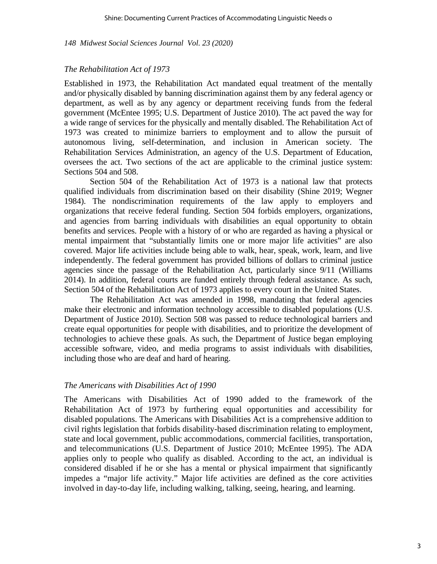#### *The Rehabilitation Act of 1973*

Established in 1973, the Rehabilitation Act mandated equal treatment of the mentally and/or physically disabled by banning discrimination against them by any federal agency or department, as well as by any agency or department receiving funds from the federal government (McEntee 1995; U.S. Department of Justice 2010). The act paved the way for a wide range of services for the physically and mentally disabled. The Rehabilitation Act of 1973 was created to minimize barriers to employment and to allow the pursuit of autonomous living, self-determination, and inclusion in American society. The Rehabilitation Services Administration, an agency of the U.S. Department of Education, oversees the act. Two sections of the act are applicable to the criminal justice system: Sections 504 and 508.

Section 504 of the Rehabilitation Act of 1973 is a national law that protects qualified individuals from discrimination based on their disability (Shine 2019; Wegner 1984). The nondiscrimination requirements of the law apply to employers and organizations that receive federal funding. Section 504 forbids employers, organizations, and agencies from barring individuals with disabilities an equal opportunity to obtain benefits and services. People with a history of or who are regarded as having a physical or mental impairment that "substantially limits one or more major life activities" are also covered. Major life activities include being able to walk, hear, speak, work, learn, and live independently. The federal government has provided billions of dollars to criminal justice agencies since the passage of the Rehabilitation Act, particularly since 9/11 (Williams 2014). In addition, federal courts are funded entirely through federal assistance. As such, Section 504 of the Rehabilitation Act of 1973 applies to every court in the United States.

The Rehabilitation Act was amended in 1998, mandating that federal agencies make their electronic and information technology accessible to disabled populations (U.S. Department of Justice 2010). Section 508 was passed to reduce technological barriers and create equal opportunities for people with disabilities, and to prioritize the development of technologies to achieve these goals. As such, the Department of Justice began employing accessible software, video, and media programs to assist individuals with disabilities, including those who are deaf and hard of hearing.

## *The Americans with Disabilities Act of 1990*

The Americans with Disabilities Act of 1990 added to the framework of the Rehabilitation Act of 1973 by furthering equal opportunities and accessibility for disabled populations. The Americans with Disabilities Act is a comprehensive addition to civil rights legislation that forbids disability-based discrimination relating to employment, state and local government, public accommodations, commercial facilities, transportation, and telecommunications (U.S. Department of Justice 2010; McEntee 1995). The ADA applies only to people who qualify as disabled. According to the act, an individual is considered disabled if he or she has a mental or physical impairment that significantly impedes a "major life activity." Major life activities are defined as the core activities involved in day-to-day life, including walking, talking, seeing, hearing, and learning.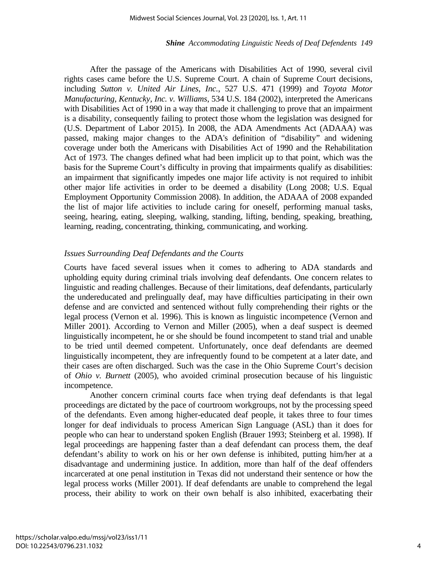After the passage of the Americans with Disabilities Act of 1990, several civil rights cases came before the U.S. Supreme Court. A chain of Supreme Court decisions, including *Sutton v. United Air Lines, Inc.*, 527 U.S. 471 (1999) and *Toyota Motor Manufacturing, Kentucky, Inc. v. Williams*, 534 U.S. 184 (2002), interpreted the Americans with Disabilities Act of 1990 in a way that made it challenging to prove that an impairment is a disability, consequently failing to protect those whom the legislation was designed for (U.S. Department of Labor 2015). In 2008, the ADA Amendments Act (ADAAA) was passed, making major changes to the ADA's definition of "disability" and widening coverage under both the Americans with Disabilities Act of 1990 and the Rehabilitation Act of 1973. The changes defined what had been implicit up to that point, which was the basis for the Supreme Court's difficulty in proving that impairments qualify as disabilities: an impairment that significantly impedes one major life activity is not required to inhibit other major life activities in order to be deemed a disability (Long 2008; U.S. Equal Employment Opportunity Commission 2008). In addition, the ADAAA of 2008 expanded the list of major life activities to include caring for oneself, performing manual tasks, seeing, hearing, eating, sleeping, walking, standing, lifting, bending, speaking, breathing, learning, reading, concentrating, thinking, communicating, and working.

#### *Issues Surrounding Deaf Defendants and the Courts*

Courts have faced several issues when it comes to adhering to ADA standards and upholding equity during criminal trials involving deaf defendants. One concern relates to linguistic and reading challenges. Because of their limitations, deaf defendants, particularly the undereducated and prelingually deaf, may have difficulties participating in their own defense and are convicted and sentenced without fully comprehending their rights or the legal process (Vernon et al. 1996). This is known as linguistic incompetence (Vernon and Miller 2001). According to Vernon and Miller (2005), when a deaf suspect is deemed linguistically incompetent, he or she should be found incompetent to stand trial and unable to be tried until deemed competent. Unfortunately, once deaf defendants are deemed linguistically incompetent, they are infrequently found to be competent at a later date, and their cases are often discharged. Such was the case in the Ohio Supreme Court's decision of *Ohio v. Burnett* (2005), who avoided criminal prosecution because of his linguistic incompetence.

Another concern criminal courts face when trying deaf defendants is that legal proceedings are dictated by the pace of courtroom workgroups, not by the processing speed of the defendants. Even among higher-educated deaf people, it takes three to four times longer for deaf individuals to process American Sign Language (ASL) than it does for people who can hear to understand spoken English (Brauer 1993; Steinberg et al. 1998). If legal proceedings are happening faster than a deaf defendant can process them, the deaf defendant's ability to work on his or her own defense is inhibited, putting him/her at a disadvantage and undermining justice. In addition, more than half of the deaf offenders incarcerated at one penal institution in Texas did not understand their sentence or how the legal process works (Miller 2001). If deaf defendants are unable to comprehend the legal process, their ability to work on their own behalf is also inhibited, exacerbating their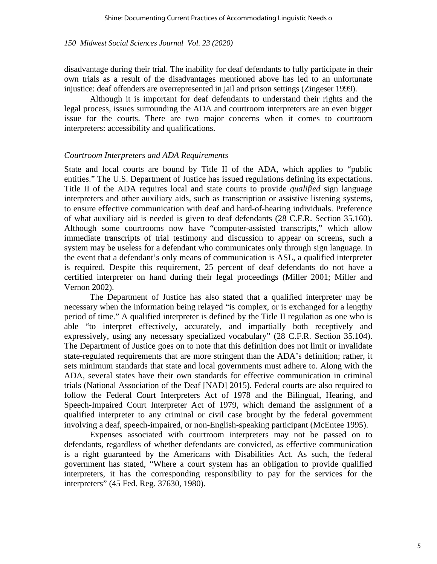disadvantage during their trial. The inability for deaf defendants to fully participate in their own trials as a result of the disadvantages mentioned above has led to an unfortunate injustice: deaf offenders are overrepresented in jail and prison settings (Zingeser 1999).

Although it is important for deaf defendants to understand their rights and the legal process, issues surrounding the ADA and courtroom interpreters are an even bigger issue for the courts. There are two major concerns when it comes to courtroom interpreters: accessibility and qualifications.

#### *Courtroom Interpreters and ADA Requirements*

State and local courts are bound by Title II of the ADA, which applies to "public entities." The U.S. Department of Justice has issued regulations defining its expectations. Title II of the ADA requires local and state courts to provide *qualified* sign language interpreters and other auxiliary aids, such as transcription or assistive listening systems, to ensure effective communication with deaf and hard-of-hearing individuals. Preference of what auxiliary aid is needed is given to deaf defendants (28 C.F.R. Section 35.160). Although some courtrooms now have "computer-assisted transcripts," which allow immediate transcripts of trial testimony and discussion to appear on screens, such a system may be useless for a defendant who communicates only through sign language. In the event that a defendant's only means of communication is ASL, a qualified interpreter is required. Despite this requirement, 25 percent of deaf defendants do not have a certified interpreter on hand during their legal proceedings (Miller 2001; Miller and Vernon 2002).

The Department of Justice has also stated that a qualified interpreter may be necessary when the information being relayed "is complex, or is exchanged for a lengthy period of time." A qualified interpreter is defined by the Title II regulation as one who is able "to interpret effectively, accurately, and impartially both receptively and expressively, using any necessary specialized vocabulary" (28 C.F.R. Section 35.104). The Department of Justice goes on to note that this definition does not limit or invalidate state-regulated requirements that are more stringent than the ADA's definition; rather, it sets minimum standards that state and local governments must adhere to. Along with the ADA, several states have their own standards for effective communication in criminal trials (National Association of the Deaf [NAD] 2015). Federal courts are also required to follow the Federal Court Interpreters Act of 1978 and the Bilingual, Hearing, and Speech-Impaired Court Interpreter Act of 1979, which demand the assignment of a qualified interpreter to any criminal or civil case brought by the federal government involving a deaf, speech-impaired, or non-English-speaking participant (McEntee 1995).

Expenses associated with courtroom interpreters may not be passed on to defendants, regardless of whether defendants are convicted, as effective communication is a right guaranteed by the Americans with Disabilities Act. As such, the federal government has stated, "Where a court system has an obligation to provide qualified interpreters, it has the corresponding responsibility to pay for the services for the interpreters" (45 Fed. Reg. 37630, 1980).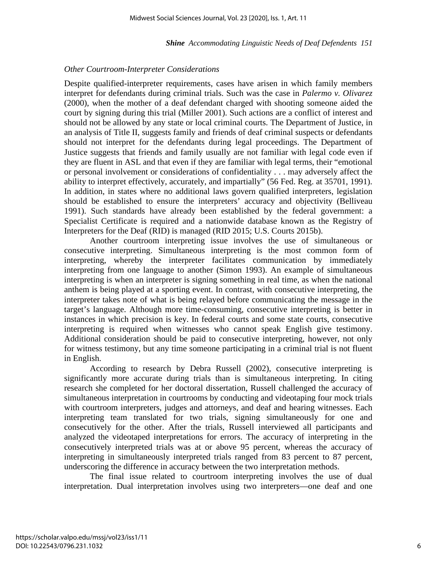#### *Other Courtroom-Interpreter Considerations*

Despite qualified-interpreter requirements, cases have arisen in which family members interpret for defendants during criminal trials. Such was the case in *Palermo v. Olivarez* (2000), when the mother of a deaf defendant charged with shooting someone aided the court by signing during this trial (Miller 2001). Such actions are a conflict of interest and should not be allowed by any state or local criminal courts. The Department of Justice, in an analysis of Title II, suggests family and friends of deaf criminal suspects or defendants should not interpret for the defendants during legal proceedings. The Department of Justice suggests that friends and family usually are not familiar with legal code even if they are fluent in ASL and that even if they are familiar with legal terms, their "emotional or personal involvement or considerations of confidentiality . . . may adversely affect the ability to interpret effectively, accurately, and impartially" (56 Fed. Reg. at 35701, 1991). In addition, in states where no additional laws govern qualified interpreters, legislation should be established to ensure the interpreters' accuracy and objectivity (Belliveau 1991). Such standards have already been established by the federal government: a Specialist Certificate is required and a nationwide database known as the Registry of Interpreters for the Deaf (RID) is managed (RID 2015; U.S. Courts 2015b).

Another courtroom interpreting issue involves the use of simultaneous or consecutive interpreting. Simultaneous interpreting is the most common form of interpreting, whereby the interpreter facilitates communication by immediately interpreting from one language to another (Simon 1993). An example of simultaneous interpreting is when an interpreter is signing something in real time, as when the national anthem is being played at a sporting event. In contrast, with consecutive interpreting, the interpreter takes note of what is being relayed before communicating the message in the target's language. Although more time-consuming, consecutive interpreting is better in instances in which precision is key. In federal courts and some state courts, consecutive interpreting is required when witnesses who cannot speak English give testimony. Additional consideration should be paid to consecutive interpreting, however, not only for witness testimony, but any time someone participating in a criminal trial is not fluent in English.

According to research by Debra Russell (2002), consecutive interpreting is significantly more accurate during trials than is simultaneous interpreting. In citing research she completed for her doctoral dissertation, Russell challenged the accuracy of simultaneous interpretation in courtrooms by conducting and videotaping four mock trials with courtroom interpreters, judges and attorneys, and deaf and hearing witnesses. Each interpreting team translated for two trials, signing simultaneously for one and consecutively for the other. After the trials, Russell interviewed all participants and analyzed the videotaped interpretations for errors. The accuracy of interpreting in the consecutively interpreted trials was at or above 95 percent, whereas the accuracy of interpreting in simultaneously interpreted trials ranged from 83 percent to 87 percent, underscoring the difference in accuracy between the two interpretation methods.

The final issue related to courtroom interpreting involves the use of dual interpretation. Dual interpretation involves using two interpreters—one deaf and one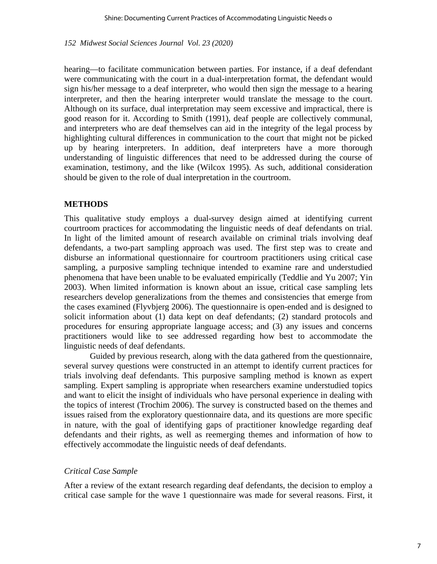hearing—to facilitate communication between parties. For instance, if a deaf defendant were communicating with the court in a dual-interpretation format, the defendant would sign his/her message to a deaf interpreter, who would then sign the message to a hearing interpreter, and then the hearing interpreter would translate the message to the court. Although on its surface, dual interpretation may seem excessive and impractical, there is good reason for it. According to Smith (1991), deaf people are collectively communal, and interpreters who are deaf themselves can aid in the integrity of the legal process by highlighting cultural differences in communication to the court that might not be picked up by hearing interpreters. In addition, deaf interpreters have a more thorough understanding of linguistic differences that need to be addressed during the course of examination, testimony, and the like (Wilcox 1995). As such, additional consideration should be given to the role of dual interpretation in the courtroom.

### **METHODS**

This qualitative study employs a dual-survey design aimed at identifying current courtroom practices for accommodating the linguistic needs of deaf defendants on trial. In light of the limited amount of research available on criminal trials involving deaf defendants, a two-part sampling approach was used. The first step was to create and disburse an informational questionnaire for courtroom practitioners using critical case sampling, a purposive sampling technique intended to examine rare and understudied phenomena that have been unable to be evaluated empirically (Teddlie and Yu 2007; Yin 2003). When limited information is known about an issue, critical case sampling lets researchers develop generalizations from the themes and consistencies that emerge from the cases examined (Flyvbjerg 2006). The questionnaire is open-ended and is designed to solicit information about (1) data kept on deaf defendants; (2) standard protocols and procedures for ensuring appropriate language access; and (3) any issues and concerns practitioners would like to see addressed regarding how best to accommodate the linguistic needs of deaf defendants.

Guided by previous research, along with the data gathered from the questionnaire, several survey questions were constructed in an attempt to identify current practices for trials involving deaf defendants. This purposive sampling method is known as expert sampling. Expert sampling is appropriate when researchers examine understudied topics and want to elicit the insight of individuals who have personal experience in dealing with the topics of interest (Trochim 2006). The survey is constructed based on the themes and issues raised from the exploratory questionnaire data, and its questions are more specific in nature, with the goal of identifying gaps of practitioner knowledge regarding deaf defendants and their rights, as well as reemerging themes and information of how to effectively accommodate the linguistic needs of deaf defendants.

#### *Critical Case Sample*

After a review of the extant research regarding deaf defendants, the decision to employ a critical case sample for the wave 1 questionnaire was made for several reasons. First, it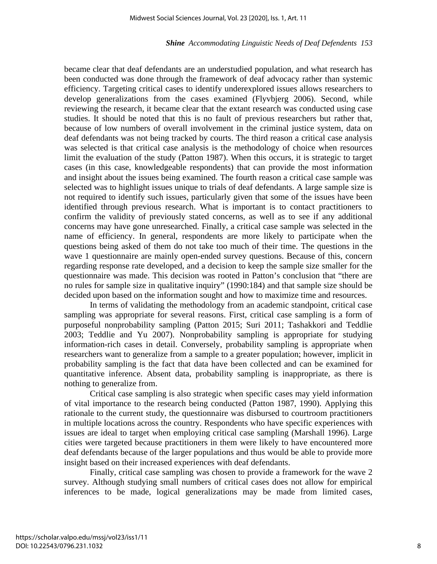became clear that deaf defendants are an understudied population, and what research has been conducted was done through the framework of deaf advocacy rather than systemic efficiency. Targeting critical cases to identify underexplored issues allows researchers to develop generalizations from the cases examined (Flyvbjerg 2006). Second, while reviewing the research, it became clear that the extant research was conducted using case studies. It should be noted that this is no fault of previous researchers but rather that, because of low numbers of overall involvement in the criminal justice system, data on deaf defendants was not being tracked by courts. The third reason a critical case analysis was selected is that critical case analysis is the methodology of choice when resources limit the evaluation of the study (Patton 1987). When this occurs, it is strategic to target cases (in this case, knowledgeable respondents) that can provide the most information and insight about the issues being examined. The fourth reason a critical case sample was selected was to highlight issues unique to trials of deaf defendants. A large sample size is not required to identify such issues, particularly given that some of the issues have been identified through previous research. What is important is to contact practitioners to confirm the validity of previously stated concerns, as well as to see if any additional concerns may have gone unresearched. Finally, a critical case sample was selected in the name of efficiency. In general, respondents are more likely to participate when the questions being asked of them do not take too much of their time. The questions in the wave 1 questionnaire are mainly open-ended survey questions. Because of this, concern regarding response rate developed, and a decision to keep the sample size smaller for the questionnaire was made. This decision was rooted in Patton's conclusion that "there are no rules for sample size in qualitative inquiry" (1990:184) and that sample size should be decided upon based on the information sought and how to maximize time and resources.

In terms of validating the methodology from an academic standpoint, critical case sampling was appropriate for several reasons. First, critical case sampling is a form of purposeful nonprobability sampling (Patton 2015; Suri 2011; Tashakkori and Teddlie 2003; Teddlie and Yu 2007). Nonprobability sampling is appropriate for studying information-rich cases in detail. Conversely, probability sampling is appropriate when researchers want to generalize from a sample to a greater population; however, implicit in probability sampling is the fact that data have been collected and can be examined for quantitative inference. Absent data, probability sampling is inappropriate, as there is nothing to generalize from.

Critical case sampling is also strategic when specific cases may yield information of vital importance to the research being conducted (Patton 1987, 1990). Applying this rationale to the current study, the questionnaire was disbursed to courtroom practitioners in multiple locations across the country. Respondents who have specific experiences with issues are ideal to target when employing critical case sampling (Marshall 1996). Large cities were targeted because practitioners in them were likely to have encountered more deaf defendants because of the larger populations and thus would be able to provide more insight based on their increased experiences with deaf defendants.

Finally, critical case sampling was chosen to provide a framework for the wave 2 survey. Although studying small numbers of critical cases does not allow for empirical inferences to be made, logical generalizations may be made from limited cases,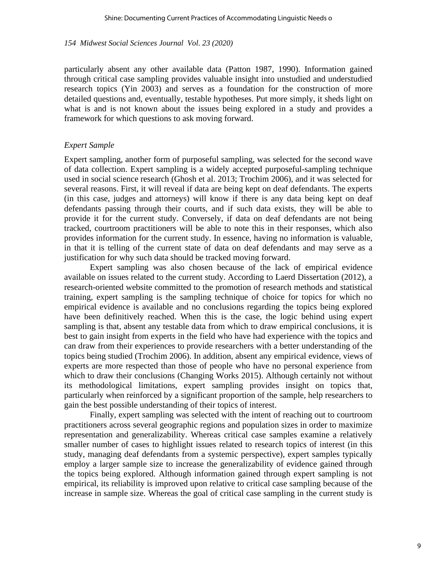particularly absent any other available data (Patton 1987, 1990). Information gained through critical case sampling provides valuable insight into unstudied and understudied research topics (Yin 2003) and serves as a foundation for the construction of more detailed questions and, eventually, testable hypotheses. Put more simply, it sheds light on what is and is not known about the issues being explored in a study and provides a framework for which questions to ask moving forward.

#### *Expert Sample*

Expert sampling, another form of purposeful sampling, was selected for the second wave of data collection. Expert sampling is a widely accepted purposeful-sampling technique used in social science research (Ghosh et al. 2013; Trochim 2006), and it was selected for several reasons. First, it will reveal if data are being kept on deaf defendants. The experts (in this case, judges and attorneys) will know if there is any data being kept on deaf defendants passing through their courts, and if such data exists, they will be able to provide it for the current study. Conversely, if data on deaf defendants are not being tracked, courtroom practitioners will be able to note this in their responses, which also provides information for the current study. In essence, having no information is valuable, in that it is telling of the current state of data on deaf defendants and may serve as a justification for why such data should be tracked moving forward.

Expert sampling was also chosen because of the lack of empirical evidence available on issues related to the current study. According to Laerd Dissertation (2012), a research-oriented website committed to the promotion of research methods and statistical training, expert sampling is the sampling technique of choice for topics for which no empirical evidence is available and no conclusions regarding the topics being explored have been definitively reached. When this is the case, the logic behind using expert sampling is that, absent any testable data from which to draw empirical conclusions, it is best to gain insight from experts in the field who have had experience with the topics and can draw from their experiences to provide researchers with a better understanding of the topics being studied (Trochim 2006). In addition, absent any empirical evidence, views of experts are more respected than those of people who have no personal experience from which to draw their conclusions (Changing Works 2015). Although certainly not without its methodological limitations, expert sampling provides insight on topics that, particularly when reinforced by a significant proportion of the sample, help researchers to gain the best possible understanding of their topics of interest.

Finally, expert sampling was selected with the intent of reaching out to courtroom practitioners across several geographic regions and population sizes in order to maximize representation and generalizability. Whereas critical case samples examine a relatively smaller number of cases to highlight issues related to research topics of interest (in this study, managing deaf defendants from a systemic perspective), expert samples typically employ a larger sample size to increase the generalizability of evidence gained through the topics being explored. Although information gained through expert sampling is not empirical, its reliability is improved upon relative to critical case sampling because of the increase in sample size. Whereas the goal of critical case sampling in the current study is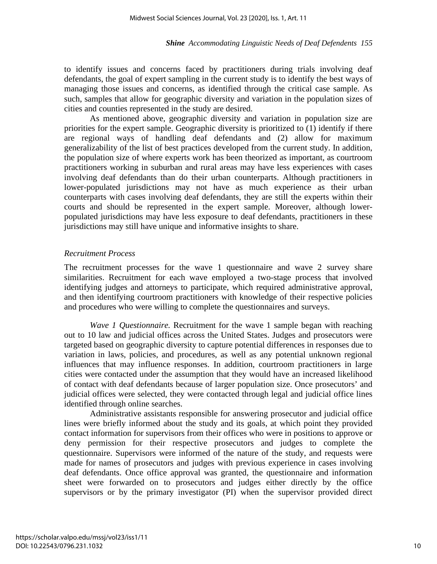to identify issues and concerns faced by practitioners during trials involving deaf defendants, the goal of expert sampling in the current study is to identify the best ways of managing those issues and concerns, as identified through the critical case sample. As such, samples that allow for geographic diversity and variation in the population sizes of cities and counties represented in the study are desired.

As mentioned above, geographic diversity and variation in population size are priorities for the expert sample. Geographic diversity is prioritized to (1) identify if there are regional ways of handling deaf defendants and (2) allow for maximum generalizability of the list of best practices developed from the current study. In addition, the population size of where experts work has been theorized as important, as courtroom practitioners working in suburban and rural areas may have less experiences with cases involving deaf defendants than do their urban counterparts. Although practitioners in lower-populated jurisdictions may not have as much experience as their urban counterparts with cases involving deaf defendants, they are still the experts within their courts and should be represented in the expert sample. Moreover, although lowerpopulated jurisdictions may have less exposure to deaf defendants, practitioners in these jurisdictions may still have unique and informative insights to share.

#### *Recruitment Process*

The recruitment processes for the wave 1 questionnaire and wave 2 survey share similarities. Recruitment for each wave employed a two-stage process that involved identifying judges and attorneys to participate, which required administrative approval, and then identifying courtroom practitioners with knowledge of their respective policies and procedures who were willing to complete the questionnaires and surveys.

*Wave 1 Questionnaire.* Recruitment for the wave 1 sample began with reaching out to 10 law and judicial offices across the United States. Judges and prosecutors were targeted based on geographic diversity to capture potential differences in responses due to variation in laws, policies, and procedures, as well as any potential unknown regional influences that may influence responses. In addition, courtroom practitioners in large cities were contacted under the assumption that they would have an increased likelihood of contact with deaf defendants because of larger population size. Once prosecutors' and judicial offices were selected, they were contacted through legal and judicial office lines identified through online searches.

Administrative assistants responsible for answering prosecutor and judicial office lines were briefly informed about the study and its goals, at which point they provided contact information for supervisors from their offices who were in positions to approve or deny permission for their respective prosecutors and judges to complete the questionnaire. Supervisors were informed of the nature of the study, and requests were made for names of prosecutors and judges with previous experience in cases involving deaf defendants. Once office approval was granted, the questionnaire and information sheet were forwarded on to prosecutors and judges either directly by the office supervisors or by the primary investigator (PI) when the supervisor provided direct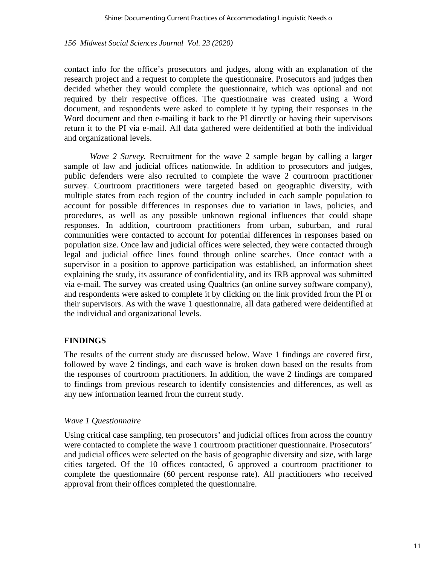contact info for the office's prosecutors and judges, along with an explanation of the research project and a request to complete the questionnaire. Prosecutors and judges then decided whether they would complete the questionnaire, which was optional and not required by their respective offices. The questionnaire was created using a Word document, and respondents were asked to complete it by typing their responses in the Word document and then e-mailing it back to the PI directly or having their supervisors return it to the PI via e-mail. All data gathered were deidentified at both the individual and organizational levels.

*Wave 2 Survey.* Recruitment for the wave 2 sample began by calling a larger sample of law and judicial offices nationwide. In addition to prosecutors and judges, public defenders were also recruited to complete the wave 2 courtroom practitioner survey. Courtroom practitioners were targeted based on geographic diversity, with multiple states from each region of the country included in each sample population to account for possible differences in responses due to variation in laws, policies, and procedures, as well as any possible unknown regional influences that could shape responses. In addition, courtroom practitioners from urban, suburban, and rural communities were contacted to account for potential differences in responses based on population size. Once law and judicial offices were selected, they were contacted through legal and judicial office lines found through online searches. Once contact with a supervisor in a position to approve participation was established, an information sheet explaining the study, its assurance of confidentiality, and its IRB approval was submitted via e-mail. The survey was created using Qualtrics (an online survey software company), and respondents were asked to complete it by clicking on the link provided from the PI or their supervisors. As with the wave 1 questionnaire, all data gathered were deidentified at the individual and organizational levels.

## **FINDINGS**

The results of the current study are discussed below. Wave 1 findings are covered first, followed by wave 2 findings, and each wave is broken down based on the results from the responses of courtroom practitioners. In addition, the wave 2 findings are compared to findings from previous research to identify consistencies and differences, as well as any new information learned from the current study.

## *Wave 1 Questionnaire*

Using critical case sampling, ten prosecutors' and judicial offices from across the country were contacted to complete the wave 1 courtroom practitioner questionnaire. Prosecutors' and judicial offices were selected on the basis of geographic diversity and size, with large cities targeted. Of the 10 offices contacted, 6 approved a courtroom practitioner to complete the questionnaire (60 percent response rate). All practitioners who received approval from their offices completed the questionnaire.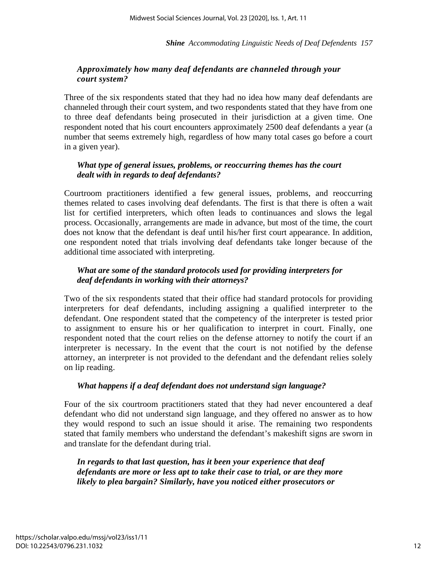### *Approximately how many deaf defendants are channeled through your court system?*

Three of the six respondents stated that they had no idea how many deaf defendants are channeled through their court system, and two respondents stated that they have from one to three deaf defendants being prosecuted in their jurisdiction at a given time. One respondent noted that his court encounters approximately 2500 deaf defendants a year (a number that seems extremely high, regardless of how many total cases go before a court in a given year).

### *What type of general issues, problems, or reoccurring themes has the court dealt with in regards to deaf defendants?*

Courtroom practitioners identified a few general issues, problems, and reoccurring themes related to cases involving deaf defendants. The first is that there is often a wait list for certified interpreters, which often leads to continuances and slows the legal process. Occasionally, arrangements are made in advance, but most of the time, the court does not know that the defendant is deaf until his/her first court appearance. In addition, one respondent noted that trials involving deaf defendants take longer because of the additional time associated with interpreting.

## *What are some of the standard protocols used for providing interpreters for deaf defendants in working with their attorneys?*

Two of the six respondents stated that their office had standard protocols for providing interpreters for deaf defendants, including assigning a qualified interpreter to the defendant. One respondent stated that the competency of the interpreter is tested prior to assignment to ensure his or her qualification to interpret in court. Finally, one respondent noted that the court relies on the defense attorney to notify the court if an interpreter is necessary. In the event that the court is not notified by the defense attorney, an interpreter is not provided to the defendant and the defendant relies solely on lip reading.

## *What happens if a deaf defendant does not understand sign language?*

Four of the six courtroom practitioners stated that they had never encountered a deaf defendant who did not understand sign language, and they offered no answer as to how they would respond to such an issue should it arise. The remaining two respondents stated that family members who understand the defendant's makeshift signs are sworn in and translate for the defendant during trial.

*In regards to that last question, has it been your experience that deaf defendants are more or less apt to take their case to trial, or are they more likely to plea bargain? Similarly, have you noticed either prosecutors or*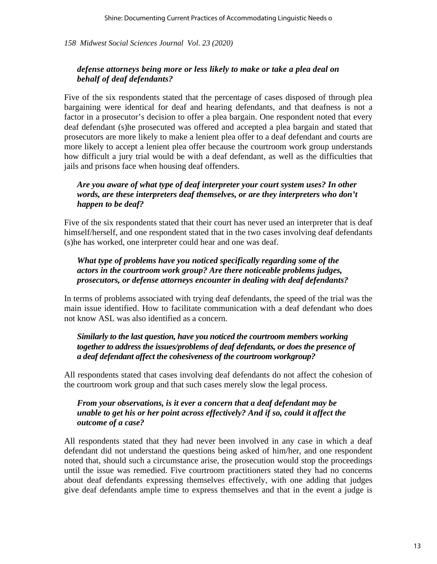### *defense attorneys being more or less likely to make or take a plea deal on behalf of deaf defendants?*

Five of the six respondents stated that the percentage of cases disposed of through plea bargaining were identical for deaf and hearing defendants, and that deafness is not a factor in a prosecutor's decision to offer a plea bargain. One respondent noted that every deaf defendant (s)he prosecuted was offered and accepted a plea bargain and stated that prosecutors are more likely to make a lenient plea offer to a deaf defendant and courts are more likely to accept a lenient plea offer because the courtroom work group understands how difficult a jury trial would be with a deaf defendant, as well as the difficulties that jails and prisons face when housing deaf offenders.

### *Are you aware of what type of deaf interpreter your court system uses? In other words, are these interpreters deaf themselves, or are they interpreters who don't happen to be deaf?*

Five of the six respondents stated that their court has never used an interpreter that is deaf himself/herself, and one respondent stated that in the two cases involving deaf defendants (s)he has worked, one interpreter could hear and one was deaf.

## *What type of problems have you noticed specifically regarding some of the actors in the courtroom work group? Are there noticeable problems judges, prosecutors, or defense attorneys encounter in dealing with deaf defendants?*

In terms of problems associated with trying deaf defendants, the speed of the trial was the main issue identified. How to facilitate communication with a deaf defendant who does not know ASL was also identified as a concern.

### *Similarly to the last question, have you noticed the courtroom members working together to address the issues/problems of deaf defendants, or does the presence of a deaf defendant affect the cohesiveness of the courtroom workgroup?*

All respondents stated that cases involving deaf defendants do not affect the cohesion of the courtroom work group and that such cases merely slow the legal process.

### *From your observations, is it ever a concern that a deaf defendant may be unable to get his or her point across effectively? And if so, could it affect the outcome of a case?*

All respondents stated that they had never been involved in any case in which a deaf defendant did not understand the questions being asked of him/her, and one respondent noted that, should such a circumstance arise, the prosecution would stop the proceedings until the issue was remedied. Five courtroom practitioners stated they had no concerns about deaf defendants expressing themselves effectively, with one adding that judges give deaf defendants ample time to express themselves and that in the event a judge is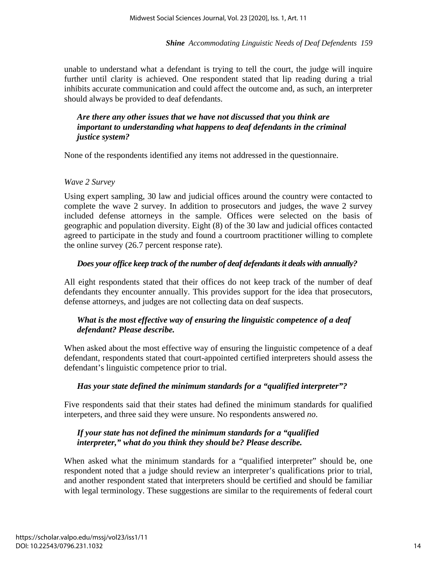unable to understand what a defendant is trying to tell the court, the judge will inquire further until clarity is achieved. One respondent stated that lip reading during a trial inhibits accurate communication and could affect the outcome and, as such, an interpreter should always be provided to deaf defendants.

### *Are there any other issues that we have not discussed that you think are important to understanding what happens to deaf defendants in the criminal justice system?*

None of the respondents identified any items not addressed in the questionnaire.

#### *Wave 2 Survey*

Using expert sampling, 30 law and judicial offices around the country were contacted to complete the wave 2 survey. In addition to prosecutors and judges, the wave 2 survey included defense attorneys in the sample. Offices were selected on the basis of geographic and population diversity. Eight (8) of the 30 law and judicial offices contacted agreed to participate in the study and found a courtroom practitioner willing to complete the online survey (26.7 percent response rate).

#### *Does your office keep track of the number of deaf defendants it deals with annually?*

All eight respondents stated that their offices do not keep track of the number of deaf defendants they encounter annually. This provides support for the idea that prosecutors, defense attorneys, and judges are not collecting data on deaf suspects.

### *What is the most effective way of ensuring the linguistic competence of a deaf defendant? Please describe.*

When asked about the most effective way of ensuring the linguistic competence of a deaf defendant, respondents stated that court-appointed certified interpreters should assess the defendant's linguistic competence prior to trial.

#### *Has your state defined the minimum standards for a "qualified interpreter"?*

Five respondents said that their states had defined the minimum standards for qualified interpeters, and three said they were unsure. No respondents answered *no*.

### *If your state has not defined the minimum standards for a "qualified interpreter," what do you think they should be? Please describe.*

When asked what the minimum standards for a "qualified interpreter" should be, one respondent noted that a judge should review an interpreter's qualifications prior to trial, and another respondent stated that interpreters should be certified and should be familiar with legal terminology. These suggestions are similar to the requirements of federal court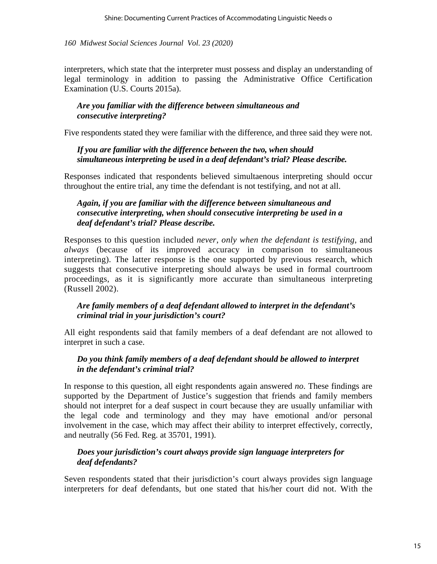interpreters, which state that the interpreter must possess and display an understanding of legal terminology in addition to passing the Administrative Office Certification Examination (U.S. Courts 2015a).

## *Are you familiar with the difference between simultaneous and consecutive interpreting?*

Five respondents stated they were familiar with the difference, and three said they were not.

## *If you are familiar with the difference between the two, when should simultaneous interpreting be used in a deaf defendant's trial? Please describe.*

Responses indicated that respondents believed simultaenous interpreting should occur throughout the entire trial, any time the defendant is not testifying, and not at all.

## *Again, if you are familiar with the difference between simultaneous and consecutive interpreting, when should consecutive interpreting be used in a deaf defendant's trial? Please describe.*

Responses to this question included *never*, *only when the defendant is testifying*, and *always* (because of its improved accuracy in comparison to simultaneous interpreting). The latter response is the one supported by previous research, which suggests that consecutive interpreting should always be used in formal courtroom proceedings, as it is significantly more accurate than simultaneous interpreting (Russell 2002).

## *Are family members of a deaf defendant allowed to interpret in the defendant's criminal trial in your jurisdiction's court?*

All eight respondents said that family members of a deaf defendant are not allowed to interpret in such a case.

## *Do you think family members of a deaf defendant should be allowed to interpret in the defendant's criminal trial?*

In response to this question, all eight respondents again answered *no*. These findings are supported by the Department of Justice's suggestion that friends and family members should not interpret for a deaf suspect in court because they are usually unfamiliar with the legal code and terminology and they may have emotional and/or personal involvement in the case, which may affect their ability to interpret effectively, correctly, and neutrally (56 Fed. Reg. at 35701, 1991).

## *Does your jurisdiction's court always provide sign language interpreters for deaf defendants?*

Seven respondents stated that their jurisdiction's court always provides sign language interpreters for deaf defendants, but one stated that his/her court did not. With the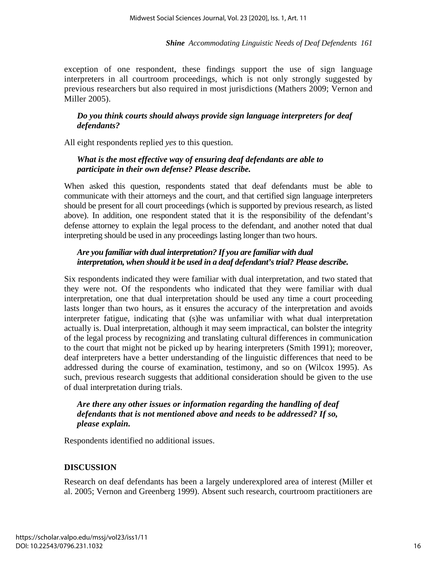exception of one respondent, these findings support the use of sign language interpreters in all courtroom proceedings, which is not only strongly suggested by previous researchers but also required in most jurisdictions (Mathers 2009; Vernon and Miller 2005).

### *Do you think courts should always provide sign language interpreters for deaf defendants?*

All eight respondents replied *yes* to this question.

#### *What is the most effective way of ensuring deaf defendants are able to participate in their own defense? Please describe.*

When asked this question, respondents stated that deaf defendants must be able to communicate with their attorneys and the court, and that certified sign language interpreters should be present for all court proceedings (which is supported by previous research, as listed above). In addition, one respondent stated that it is the responsibility of the defendant's defense attorney to explain the legal process to the defendant, and another noted that dual interpreting should be used in any proceedings lasting longer than two hours.

### *Are you familiar with dual interpretation? If you are familiar with dual interpretation, when should it be used in a deaf defendant's trial? Please describe.*

Six respondents indicated they were familiar with dual interpretation, and two stated that they were not. Of the respondents who indicated that they were familiar with dual interpretation, one that dual interpretation should be used any time a court proceeding lasts longer than two hours, as it ensures the accuracy of the interpretation and avoids interpreter fatigue, indicating that (s)he was unfamiliar with what dual interpretation actually is. Dual interpretation, although it may seem impractical, can bolster the integrity of the legal process by recognizing and translating cultural differences in communication to the court that might not be picked up by hearing interpreters (Smith 1991); moreover, deaf interpreters have a better understanding of the linguistic differences that need to be addressed during the course of examination, testimony, and so on (Wilcox 1995). As such, previous research suggests that additional consideration should be given to the use of dual interpretation during trials.

### *Are there any other issues or information regarding the handling of deaf defendants that is not mentioned above and needs to be addressed? If so, please explain.*

Respondents identified no additional issues.

## **DISCUSSION**

Research on deaf defendants has been a largely underexplored area of interest (Miller et al. 2005; Vernon and Greenberg 1999). Absent such research, courtroom practitioners are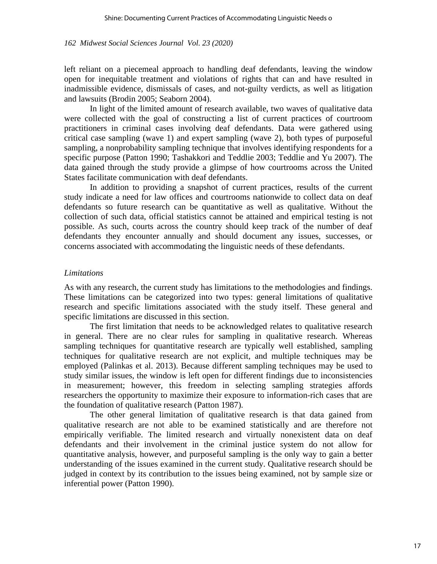left reliant on a piecemeal approach to handling deaf defendants, leaving the window open for inequitable treatment and violations of rights that can and have resulted in inadmissible evidence, dismissals of cases, and not-guilty verdicts, as well as litigation and lawsuits (Brodin 2005; Seaborn 2004).

In light of the limited amount of research available, two waves of qualitative data were collected with the goal of constructing a list of current practices of courtroom practitioners in criminal cases involving deaf defendants. Data were gathered using critical case sampling (wave 1) and expert sampling (wave 2), both types of purposeful sampling, a nonprobability sampling technique that involves identifying respondents for a specific purpose (Patton 1990; Tashakkori and Teddlie 2003; Teddlie and Yu 2007). The data gained through the study provide a glimpse of how courtrooms across the United States facilitate communication with deaf defendants.

In addition to providing a snapshot of current practices, results of the current study indicate a need for law offices and courtrooms nationwide to collect data on deaf defendants so future research can be quantitative as well as qualitative. Without the collection of such data, official statistics cannot be attained and empirical testing is not possible. As such, courts across the country should keep track of the number of deaf defendants they encounter annually and should document any issues, successes, or concerns associated with accommodating the linguistic needs of these defendants.

#### *Limitations*

As with any research, the current study has limitations to the methodologies and findings. These limitations can be categorized into two types: general limitations of qualitative research and specific limitations associated with the study itself. These general and specific limitations are discussed in this section.

The first limitation that needs to be acknowledged relates to qualitative research in general. There are no clear rules for sampling in qualitative research. Whereas sampling techniques for quantitative research are typically well established, sampling techniques for qualitative research are not explicit, and multiple techniques may be employed (Palinkas et al. 2013). Because different sampling techniques may be used to study similar issues, the window is left open for different findings due to inconsistencies in measurement; however, this freedom in selecting sampling strategies affords researchers the opportunity to maximize their exposure to information-rich cases that are the foundation of qualitative research (Patton 1987).

The other general limitation of qualitative research is that data gained from qualitative research are not able to be examined statistically and are therefore not empirically verifiable. The limited research and virtually nonexistent data on deaf defendants and their involvement in the criminal justice system do not allow for quantitative analysis, however, and purposeful sampling is the only way to gain a better understanding of the issues examined in the current study. Qualitative research should be judged in context by its contribution to the issues being examined, not by sample size or inferential power (Patton 1990).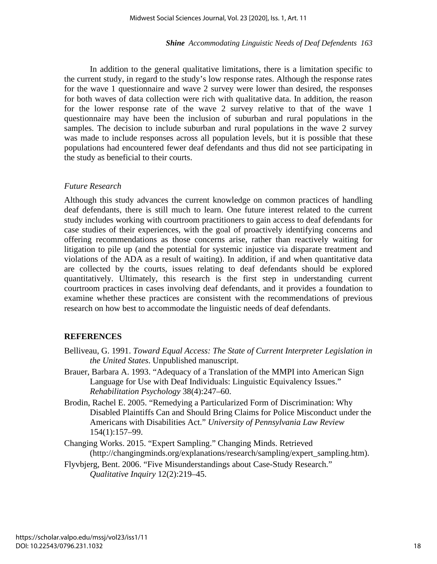In addition to the general qualitative limitations, there is a limitation specific to the current study, in regard to the study's low response rates. Although the response rates for the wave 1 questionnaire and wave 2 survey were lower than desired, the responses for both waves of data collection were rich with qualitative data. In addition, the reason for the lower response rate of the wave 2 survey relative to that of the wave 1 questionnaire may have been the inclusion of suburban and rural populations in the samples. The decision to include suburban and rural populations in the wave 2 survey was made to include responses across all population levels, but it is possible that these populations had encountered fewer deaf defendants and thus did not see participating in the study as beneficial to their courts.

#### *Future Research*

Although this study advances the current knowledge on common practices of handling deaf defendants, there is still much to learn. One future interest related to the current study includes working with courtroom practitioners to gain access to deaf defendants for case studies of their experiences, with the goal of proactively identifying concerns and offering recommendations as those concerns arise, rather than reactively waiting for litigation to pile up (and the potential for systemic injustice via disparate treatment and violations of the ADA as a result of waiting). In addition, if and when quantitative data are collected by the courts, issues relating to deaf defendants should be explored quantitatively. Ultimately, this research is the first step in understanding current courtroom practices in cases involving deaf defendants, and it provides a foundation to examine whether these practices are consistent with the recommendations of previous research on how best to accommodate the linguistic needs of deaf defendants.

#### **REFERENCES**

- Belliveau, G. 1991. *Toward Equal Access: The State of Current Interpreter Legislation in the United States*. Unpublished manuscript.
- Brauer, Barbara A. 1993. "Adequacy of a Translation of the MMPI into American Sign Language for Use with Deaf Individuals: Linguistic Equivalency Issues." *Rehabilitation Psychology* 38(4):247–60.
- Brodin, Rachel E. 2005. "Remedying a Particularized Form of Discrimination: Why Disabled Plaintiffs Can and Should Bring Claims for Police Misconduct under the Americans with Disabilities Act." *University of Pennsylvania Law Review* 154(1):157–99.
- Changing Works. 2015. "Expert Sampling." Changing Minds. Retrieved (http://changingminds.org/explanations/research/sampling/expert\_sampling.htm).
- Flyvbjerg, Bent. 2006. "Five Misunderstandings about Case-Study Research." *Qualitative Inquiry* 12(2):219–45.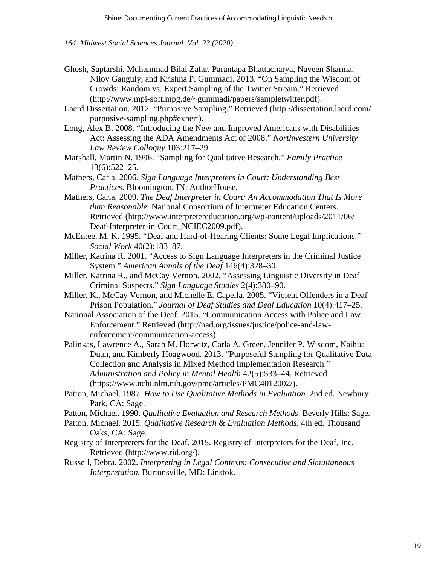Ghosh, Saptarshi, Muhammad Bilal Zafar, Parantapa Bhattacharya, Naveen Sharma, Niloy Ganguly, and Krishna P. Gummadi. 2013. "On Sampling the Wisdom of Crowds: Random vs. Expert Sampling of the Twitter Stream." Retrieved (http://www.mpi-soft.mpg.de/~gummadi/papers/sampletwitter.pdf).

Laerd Dissertation. 2012. "Purposive Sampling." Retrieved (http://dissertation.laerd.com/ purposive-sampling.php#expert).

- Long, Alex B. 2008. "Introducing the New and Improved Americans with Disabilities Act: Assessing the ADA Amendments Act of 2008." *Northwestern University Law Review Colloquy* 103:217–29.
- Marshall, Martin N. 1996. "Sampling for Qualitative Research." *Family Practice* 13(6):522–25.

Mathers, Carla. 2006. *Sign Language Interpreters in Court: Understanding Best Practices*. Bloomington, IN: AuthorHouse.

- Mathers, Carla. 2009. *The Deaf Interpreter in Court: An Accommodation That Is More than Reasonable*. National Consortium of Interpreter Education Centers. Retrieved (http://www.interpretereducation.org/wp-content/uploads/2011/06/ Deaf-Interpreter-in-Court\_NCIEC2009.pdf).
- McEntee, M. K. 1995. "Deaf and Hard-of-Hearing Clients: Some Legal Implications." *Social Work* 40(2):183–87.
- Miller, Katrina R. 2001. "Access to Sign Language Interpreters in the Criminal Justice System." *American Annals of the Deaf* 146(4):328–30.
- Miller, Katrina R., and McCay Vernon. 2002. "Assessing Linguistic Diversity in Deaf Criminal Suspects." *Sign Language Studies* 2(4):380–90.
- Miller, K., McCay Vernon, and Michelle E. Capella. 2005. "Violent Offenders in a Deaf Prison Population." *Journal of Deaf Studies and Deaf Education* 10(4):417–25.

National Association of the Deaf. 2015. "Communication Access with Police and Law Enforcement." Retrieved (http://nad.org/issues/justice/police-and-lawenforcement/communication-access).

Palinkas, Lawrence A., Sarah M. Horwitz, Carla A. Green, Jennifer P. Wisdom, Naihua Duan, and Kimberly Hoagwood. 2013. "Purposeful Sampling for Qualitative Data Collection and Analysis in Mixed Method Implementation Research." *Administration and Policy in Mental Health* 42(5):533–44. Retrieved (https://www.ncbi.nlm.nih.gov/pmc/articles/PMC4012002/).

Patton, Michael. 1987. *How to Use Qualitative Methods in Evaluation.* 2nd ed. Newbury Park, CA: Sage.

Patton, Michael. 1990. *Qualitative Evaluation and Research Methods*. Beverly Hills: Sage.

- Patton, Michael. 2015. *Qualitative Research & Evaluation Methods.* 4th ed. Thousand Oaks, CA: Sage.
- Registry of Interpreters for the Deaf. 2015. Registry of Interpreters for the Deaf, Inc. Retrieved (http://www.rid.org/).
- Russell, Debra. 2002. *Interpreting in Legal Contexts: Consecutive and Simultaneous Interpretation.* Burtonsville, MD: Linstok.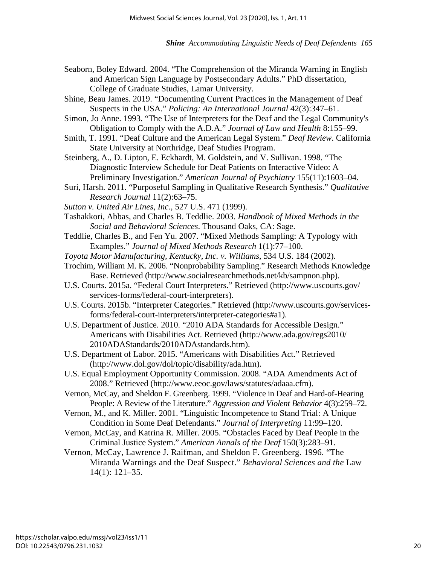- Seaborn, Boley Edward. 2004. "The Comprehension of the Miranda Warning in English and American Sign Language by Postsecondary Adults." PhD dissertation, College of Graduate Studies, Lamar University.
- Shine, Beau James. 2019. "Documenting Current Practices in the Management of Deaf Suspects in the USA." *Policing: An International Journal* 42(3):347–61.
- Simon, Jo Anne. 1993. "The Use of Interpreters for the Deaf and the Legal Community's Obligation to Comply with the A.D.A." *Journal of Law and Health* 8:155–99.
- Smith, T. 1991. "Deaf Culture and the American Legal System." *Deaf Review*. California State University at Northridge, Deaf Studies Program.
- Steinberg, A., D. Lipton, E. Eckhardt, M. Goldstein, and V. Sullivan. 1998. "The Diagnostic Interview Schedule for Deaf Patients on Interactive Video: A Preliminary Investigation." *American Journal of Psychiatry* 155(11):1603–04.
- Suri, Harsh. 2011. "Purposeful Sampling in Qualitative Research Synthesis." *Qualitative Research Journal* 11(2):63–75.
- *Sutton v. United Air Lines, Inc.*, 527 U.S. 471 (1999).
- Tashakkori, Abbas, and Charles B. Teddlie. 2003. *Handbook of Mixed Methods in the Social and Behavioral Sciences*. Thousand Oaks, CA: Sage.
- Teddlie, Charles B., and Fen Yu. 2007. "Mixed Methods Sampling: A Typology with Examples." *Journal of Mixed Methods Research* 1(1):77–100.
- *Toyota Motor Manufacturing, Kentucky, Inc. v. Williams*, 534 U.S. 184 (2002).
- Trochim, William M. K. 2006. "Nonprobability Sampling." Research Methods Knowledge Base. Retrieved (http://www.socialresearchmethods.net/kb/sampnon.php).
- U.S. Courts. 2015a. "Federal Court Interpreters." Retrieved (http://www.uscourts.gov/ services-forms/federal-court-interpreters).
- U.S. Courts. 2015b. "Interpreter Categories." Retrieved (http://www.uscourts.gov/servicesforms/federal-court-interpreters/interpreter-categories#a1).
- U.S. Department of Justice. 2010. "2010 ADA Standards for Accessible Design." Americans with Disabilities Act. Retrieved (http://www.ada.gov/regs2010/ 2010ADAStandards/2010ADAstandards.htm).
- U.S. Department of Labor. 2015. "Americans with Disabilities Act." Retrieved (http://www.dol.gov/dol/topic/disability/ada.htm).
- U.S. Equal Employment Opportunity Commission. 2008. "ADA Amendments Act of 2008." Retrieved (http://www.eeoc.gov/laws/statutes/adaaa.cfm).
- Vernon, McCay, and Sheldon F. Greenberg. 1999. "Violence in Deaf and Hard-of-Hearing People: A Review of the Literature." *Aggression and Violent Behavior* 4(3):259–72.
- Vernon, M., and K. Miller. 2001. "Linguistic Incompetence to Stand Trial: A Unique Condition in Some Deaf Defendants." *Journal of Interpreting* 11:99–120.
- Vernon, McCay, and Katrina R. Miller. 2005. "Obstacles Faced by Deaf People in the Criminal Justice System." *American Annals of the Deaf* 150(3):283–91.
- Vernon, McCay, Lawrence J. Raifman, and Sheldon F. Greenberg. 1996. "The Miranda Warnings and the Deaf Suspect." *Behavioral Sciences and the* Law 14(1): 121–35.